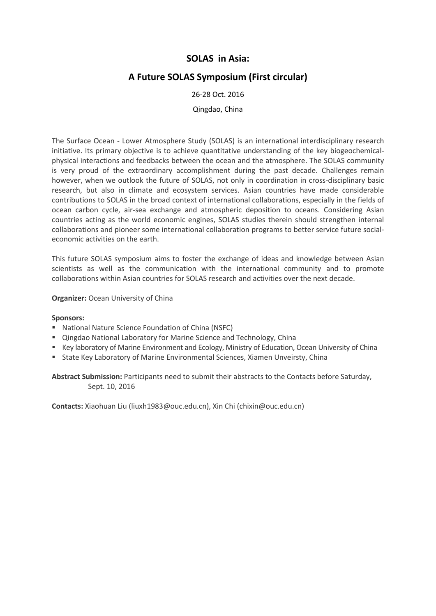# **SOLAS in Asia:**

# **A Future SOLAS Symposium (First circular)**

### 26-28 Oct. 2016

#### Qingdao, China

The Surface Ocean - Lower Atmosphere Study (SOLAS) is an international interdisciplinary research initiative. Its primary objective is to achieve quantitative understanding of the key biogeochemicalphysical interactions and feedbacks between the ocean and the atmosphere. The SOLAS community is very proud of the extraordinary accomplishment during the past decade. Challenges remain however, when we outlook the future of SOLAS, not only in coordination in cross-disciplinary basic research, but also in climate and ecosystem services. Asian countries have made considerable contributions to SOLAS in the broad context of international collaborations, especially in the fields of ocean carbon cycle, air-sea exchange and atmospheric deposition to oceans. Considering Asian countries acting as the world economic engines, SOLAS studies therein should strengthen internal collaborations and pioneer some international collaboration programs to better service future socialeconomic activities on the earth.

This future SOLAS symposium aims to foster the exchange of ideas and knowledge between Asian scientists as well as the communication with the international community and to promote collaborations within Asian countries for SOLAS research and activities over the next decade.

#### **Organizer:** Ocean University of China

#### **Sponsors:**

- National Nature Science Foundation of China (NSFC)
- **E** Qingdao National Laboratory for Marine Science and Technology, China
- Key laboratory of Marine Environment and Ecology, Ministry of Education, Ocean University of China
- **State Key Laboratory of Marine Environmental Sciences, Xiamen Unveirsty, China**

**Abstract Submission:** Participants need to submit their abstracts to the Contacts before Saturday, Sept. 10, 2016

**Contacts:** Xiaohuan Liu (liuxh1983@ouc.edu.cn), Xin Chi (chixin@ouc.edu.cn)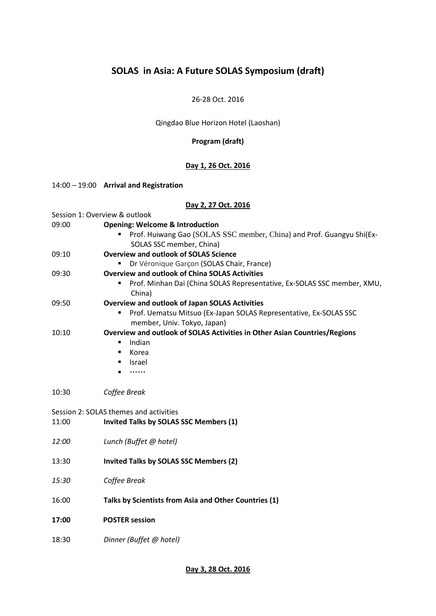# **SOLAS in Asia: A Future SOLAS Symposium (draft)**

#### 26-28 Oct. 2016

# Qingdao Blue Horizon Hotel (Laoshan)

## **Program (draft)**

# **Day 1, 26 Oct. 2016**

#### 14:00 – 19:00 **Arrival and Registration**

## **Day 2, 27 Oct. 2016**

| Session 1: Overview & outlook          |                                                                                                       |
|----------------------------------------|-------------------------------------------------------------------------------------------------------|
| 09:00                                  | <b>Opening: Welcome &amp; Introduction</b>                                                            |
|                                        | Prof. Huiwang Gao (SOLAS SSC member, China) and Prof. Guangyu Shi(Ex-                                 |
|                                        | SOLAS SSC member, China)                                                                              |
| 09:10                                  | <b>Overview and outlook of SOLAS Science</b>                                                          |
|                                        | Dr Véronique Garçon (SOLAS Chair, France)                                                             |
| 09:30                                  | <b>Overview and outlook of China SOLAS Activities</b>                                                 |
|                                        | Prof. Minhan Dai (China SOLAS Representative, Ex-SOLAS SSC member, XMU,<br>$\blacksquare$<br>China)   |
| 09:50                                  | <b>Overview and outlook of Japan SOLAS Activities</b>                                                 |
|                                        | Prof. Uematsu Mitsuo (Ex-Japan SOLAS Representative, Ex-SOLAS SSC<br>٠<br>member, Univ. Tokyo, Japan) |
| 10:10                                  | Overview and outlook of SOLAS Activities in Other Asian Countries/Regions                             |
|                                        | Indian<br>$\blacksquare$                                                                              |
|                                        | Korea<br>$\blacksquare$                                                                               |
|                                        | Israel<br>$\blacksquare$                                                                              |
|                                        |                                                                                                       |
| 10:30                                  | Coffee Break                                                                                          |
| Session 2: SOLAS themes and activities |                                                                                                       |
| 11:00                                  | Invited Talks by SOLAS SSC Members (1)                                                                |
|                                        |                                                                                                       |
| 12:00                                  | Lunch (Buffet @ hotel)                                                                                |
| 13:30                                  | Invited Talks by SOLAS SSC Members (2)                                                                |
|                                        |                                                                                                       |
| 15:30                                  | Coffee Break                                                                                          |
| 16:00                                  | Talks by Scientists from Asia and Other Countries (1)                                                 |
|                                        |                                                                                                       |
| 17:00                                  | <b>POSTER session</b>                                                                                 |
| 18:30                                  | Dinner (Buffet @ hotel)                                                                               |
|                                        |                                                                                                       |